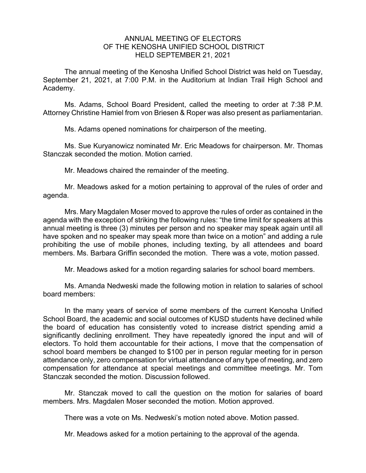## ANNUAL MEETING OF ELECTORS OF THE KENOSHA UNIFIED SCHOOL DISTRICT HELD SEPTEMBER 21, 2021

The annual meeting of the Kenosha Unified School District was held on Tuesday, September 21, 2021, at 7:00 P.M. in the Auditorium at Indian Trail High School and Academy.

Ms. Adams, School Board President, called the meeting to order at 7:38 P.M. Attorney Christine Hamiel from von Briesen & Roper was also present as parliamentarian.

Ms. Adams opened nominations for chairperson of the meeting.

Ms. Sue Kuryanowicz nominated Mr. Eric Meadows for chairperson. Mr. Thomas Stanczak seconded the motion. Motion carried.

Mr. Meadows chaired the remainder of the meeting.

Mr. Meadows asked for a motion pertaining to approval of the rules of order and agenda.

Mrs. Mary Magdalen Moser moved to approve the rules of order as contained in the agenda with the exception of striking the following rules: "the time limit for speakers at this annual meeting is three (3) minutes per person and no speaker may speak again until all have spoken and no speaker may speak more than twice on a motion" and adding a rule prohibiting the use of mobile phones, including texting, by all attendees and board members. Ms. Barbara Griffin seconded the motion. There was a vote, motion passed.

Mr. Meadows asked for a motion regarding salaries for school board members.

Ms. Amanda Nedweski made the following motion in relation to salaries of school board members:

In the many years of service of some members of the current Kenosha Unified School Board, the academic and social outcomes of KUSD students have declined while the board of education has consistently voted to increase district spending amid a significantly declining enrollment. They have repeatedly ignored the input and will of electors. To hold them accountable for their actions, I move that the compensation of school board members be changed to \$100 per in person regular meeting for in person attendance only, zero compensation for virtual attendance of any type of meeting, and zero compensation for attendance at special meetings and committee meetings. Mr. Tom Stanczak seconded the motion. Discussion followed.

Mr. Stanczak moved to call the question on the motion for salaries of board members. Mrs. Magdalen Moser seconded the motion. Motion approved.

There was a vote on Ms. Nedweski's motion noted above. Motion passed.

Mr. Meadows asked for a motion pertaining to the approval of the agenda.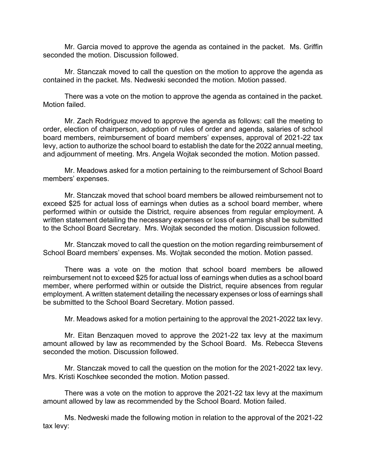Mr. Garcia moved to approve the agenda as contained in the packet. Ms. Griffin seconded the motion. Discussion followed.

Mr. Stanczak moved to call the question on the motion to approve the agenda as contained in the packet. Ms. Nedweski seconded the motion. Motion passed.

There was a vote on the motion to approve the agenda as contained in the packet. Motion failed.

Mr. Zach Rodriguez moved to approve the agenda as follows: call the meeting to order, election of chairperson, adoption of rules of order and agenda, salaries of school board members, reimbursement of board members' expenses, approval of 2021-22 tax levy, action to authorize the school board to establish the date for the 2022 annual meeting, and adjournment of meeting. Mrs. Angela Wojtak seconded the motion. Motion passed.

Mr. Meadows asked for a motion pertaining to the reimbursement of School Board members' expenses.

Mr. Stanczak moved that school board members be allowed reimbursement not to exceed \$25 for actual loss of earnings when duties as a school board member, where performed within or outside the District, require absences from regular employment. A written statement detailing the necessary expenses or loss of earnings shall be submitted to the School Board Secretary. Mrs. Wojtak seconded the motion. Discussion followed.

Mr. Stanczak moved to call the question on the motion regarding reimbursement of School Board members' expenses. Ms. Wojtak seconded the motion. Motion passed.

There was a vote on the motion that school board members be allowed reimbursement not to exceed \$25 for actual loss of earnings when duties as a school board member, where performed within or outside the District, require absences from regular employment. A written statement detailing the necessary expenses or loss of earnings shall be submitted to the School Board Secretary. Motion passed.

Mr. Meadows asked for a motion pertaining to the approval the 2021-2022 tax levy.

Mr. Eitan Benzaquen moved to approve the 2021-22 tax levy at the maximum amount allowed by law as recommended by the School Board. Ms. Rebecca Stevens seconded the motion. Discussion followed.

Mr. Stanczak moved to call the question on the motion for the 2021-2022 tax levy. Mrs. Kristi Koschkee seconded the motion. Motion passed.

 There was a vote on the motion to approve the 2021-22 tax levy at the maximum amount allowed by law as recommended by the School Board. Motion failed.

Ms. Nedweski made the following motion in relation to the approval of the 2021-22 tax levy: